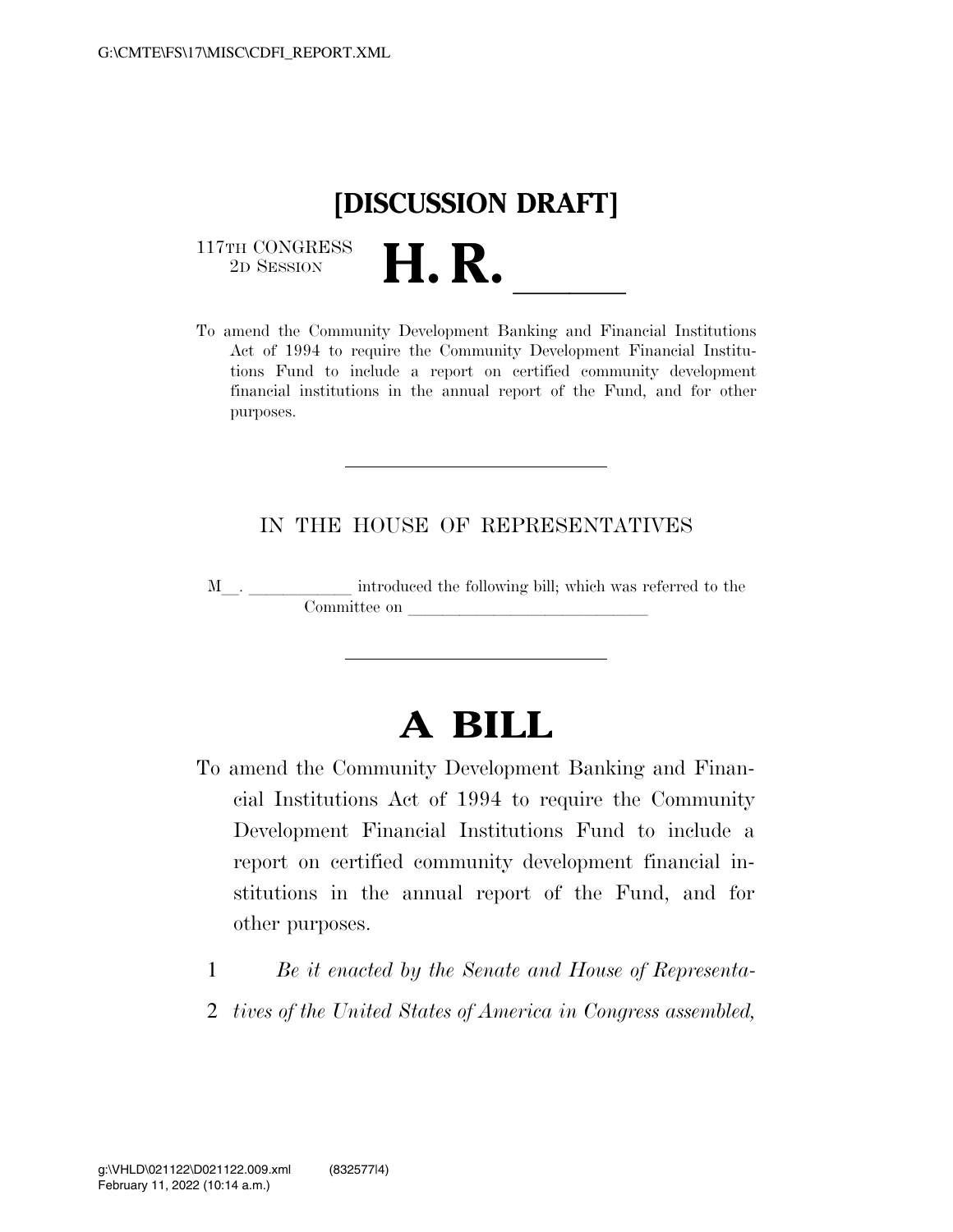

 $\begin{array}{c} \text{117TH CONGRESS} \\ \text{2D SESION} \end{array}$ 

117TH CONGRESS<br>
2D SESSION<br>
To amend the Community Development Banking and Financial Institutions Act of 1994 to require the Community Development Financial Institutions Fund to include a report on certified community development financial institutions in the annual report of the Fund, and for other purposes.

## IN THE HOUSE OF REPRESENTATIVES

<sup>M</sup>l. llllll introduced the following bill; which was referred to the Committee on

## **A BILL**

To amend the Community Development Banking and Financial Institutions Act of 1994 to require the Community Development Financial Institutions Fund to include a report on certified community development financial institutions in the annual report of the Fund, and for other purposes.

1 *Be it enacted by the Senate and House of Representa-*2 *tives of the United States of America in Congress assembled,*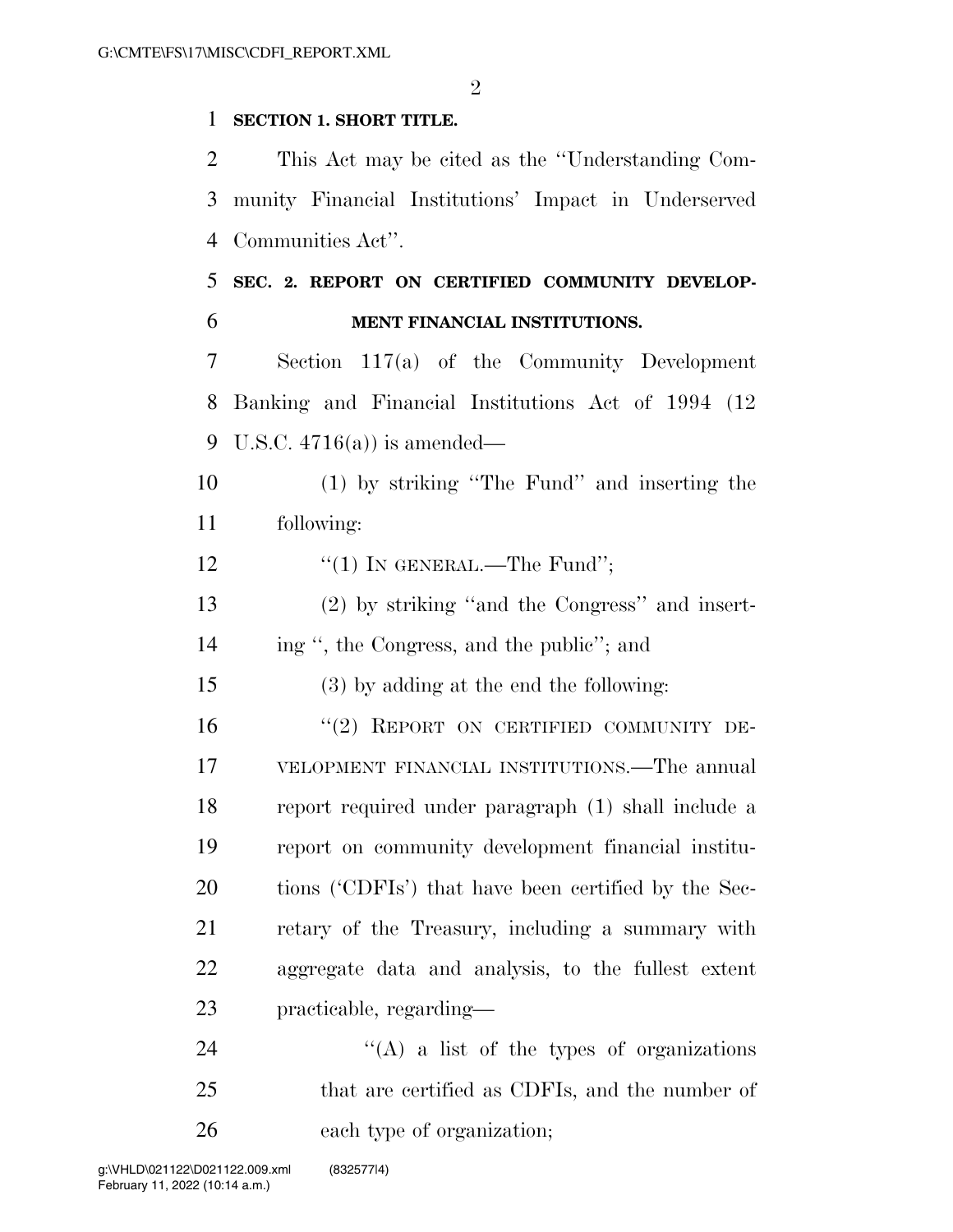$\mathfrak{D}$ 

## **SECTION 1. SHORT TITLE.**

 This Act may be cited as the ''Understanding Com- munity Financial Institutions' Impact in Underserved Communities Act''.

## **SEC. 2. REPORT ON CERTIFIED COMMUNITY DEVELOP-MENT FINANCIAL INSTITUTIONS.**

 Section 117(a) of the Community Development Banking and Financial Institutions Act of 1994 (12 U.S.C. 4716(a)) is amended—

 (1) by striking ''The Fund'' and inserting the following:

12 '(1) In GENERAL.—The Fund'';

 (2) by striking ''and the Congress'' and insert-ing '', the Congress, and the public''; and

(3) by adding at the end the following:

16 "(2) REPORT ON CERTIFIED COMMUNITY DE- VELOPMENT FINANCIAL INSTITUTIONS.—The annual report required under paragraph (1) shall include a report on community development financial institu- tions ('CDFIs') that have been certified by the Sec- retary of the Treasury, including a summary with aggregate data and analysis, to the fullest extent practicable, regarding—

24 ''(A) a list of the types of organizations that are certified as CDFIs, and the number of each type of organization;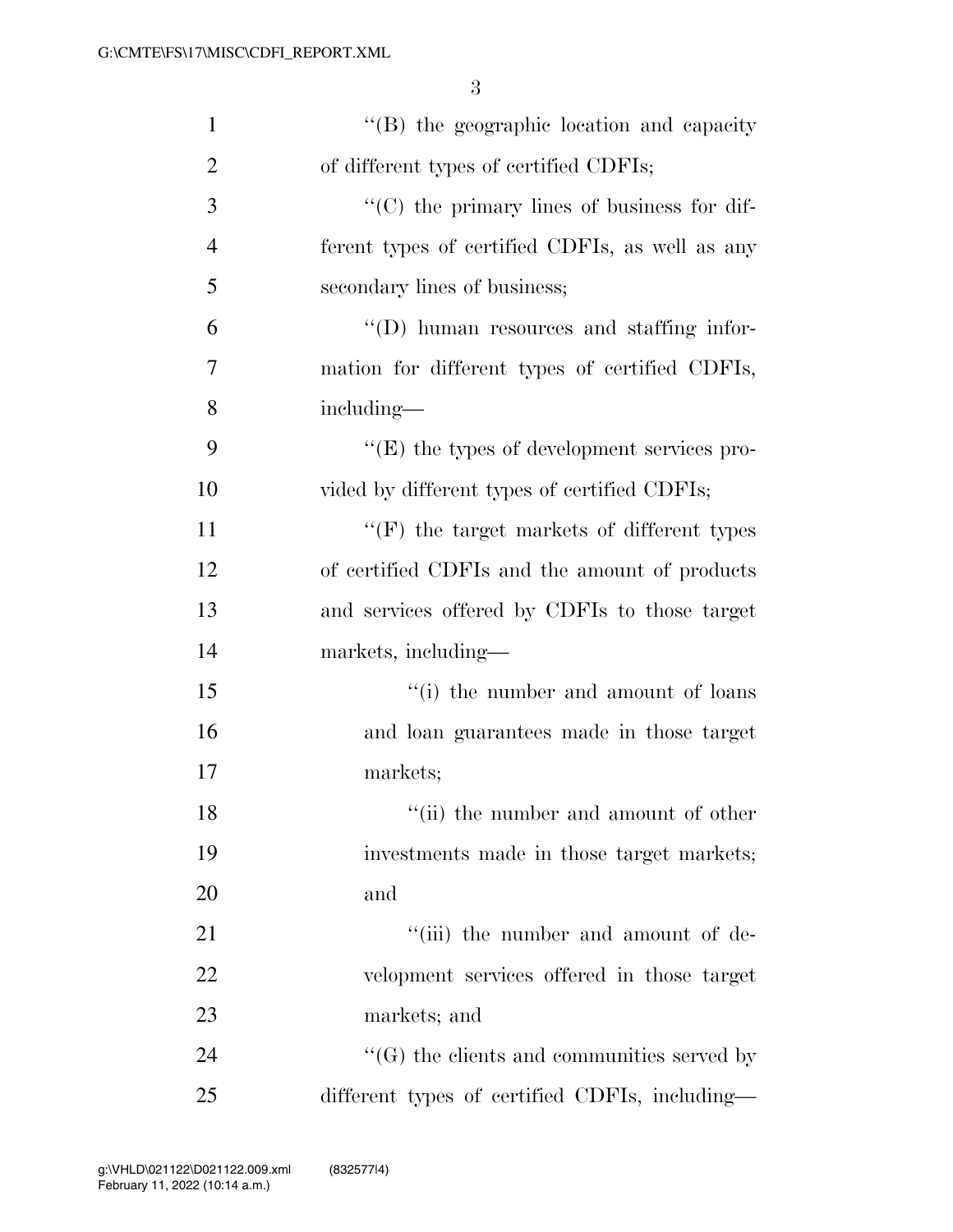3

| $\mathbf{1}$   | $\lq\lq$ the geographic location and capacity      |
|----------------|----------------------------------------------------|
| $\overline{2}$ | of different types of certified CDFIs;             |
| 3              | "(C) the primary lines of business for dif-        |
| $\overline{4}$ | ferent types of certified CDFIs, as well as any    |
| 5              | secondary lines of business;                       |
| 6              | "(D) human resources and staffing infor-           |
| 7              | mation for different types of certified CDFIs,     |
| 8              | including—                                         |
| 9              | $\lq\lq(E)$ the types of development services pro- |
| 10             | vided by different types of certified CDFIs;       |
| 11             | $\lq\lq(F)$ the target markets of different types  |
| 12             | of certified CDFIs and the amount of products      |
| 13             | and services offered by CDFIs to those target      |
| 14             | markets, including—                                |
| 15             | "(i) the number and amount of loans                |
| 16             | and loan guarantees made in those target           |
| 17             | markets;                                           |
| 18             | "(ii) the number and amount of other               |
| 19             | investments made in those target markets;          |
| 20             | and                                                |
| 21             | "(iii) the number and amount of de-                |
| 22             | velopment services offered in those target         |
| 23             | markets; and                                       |
| 24             | $\lq\lq(G)$ the clients and communities served by  |
| 25             | different types of certified CDFIs, including—     |